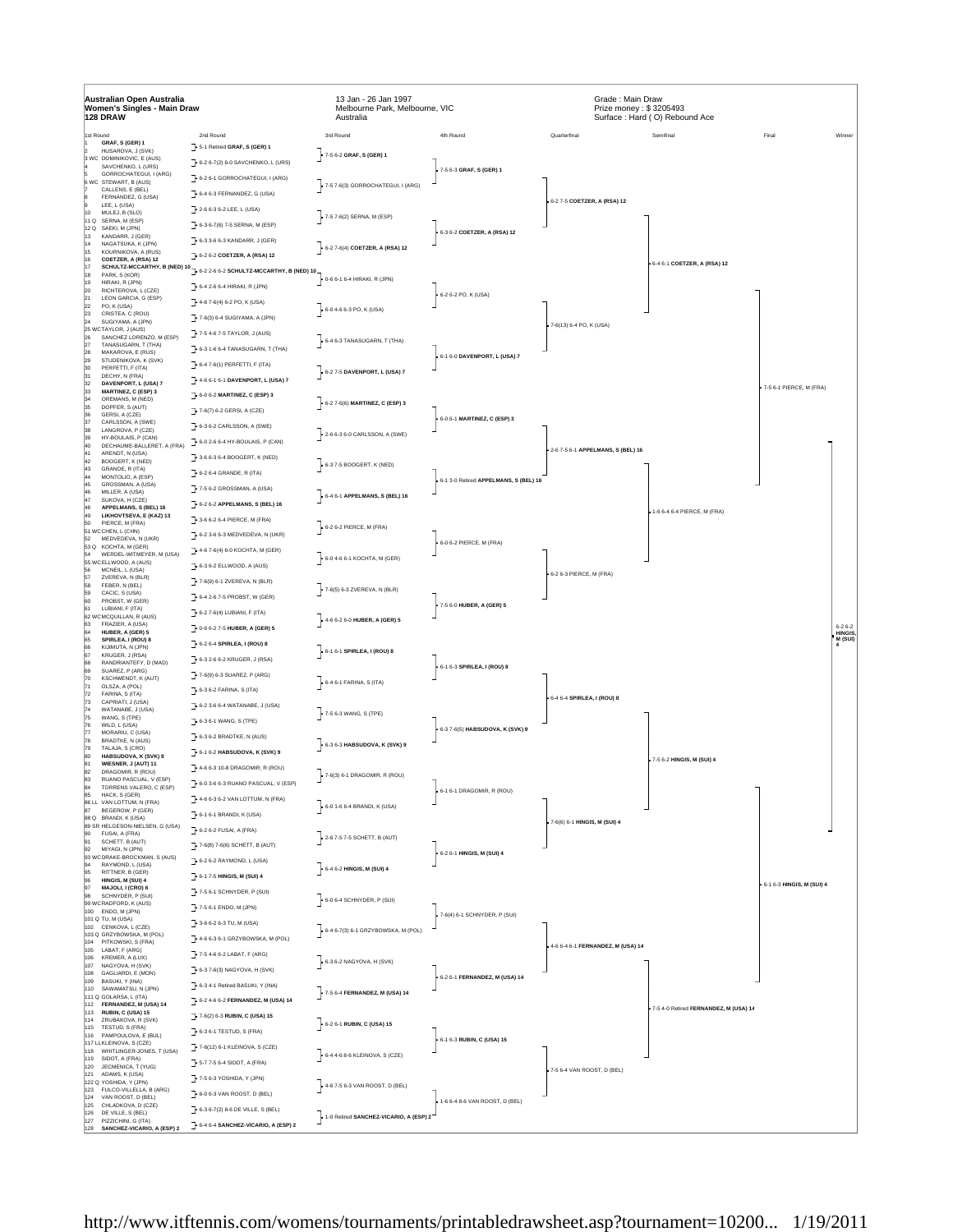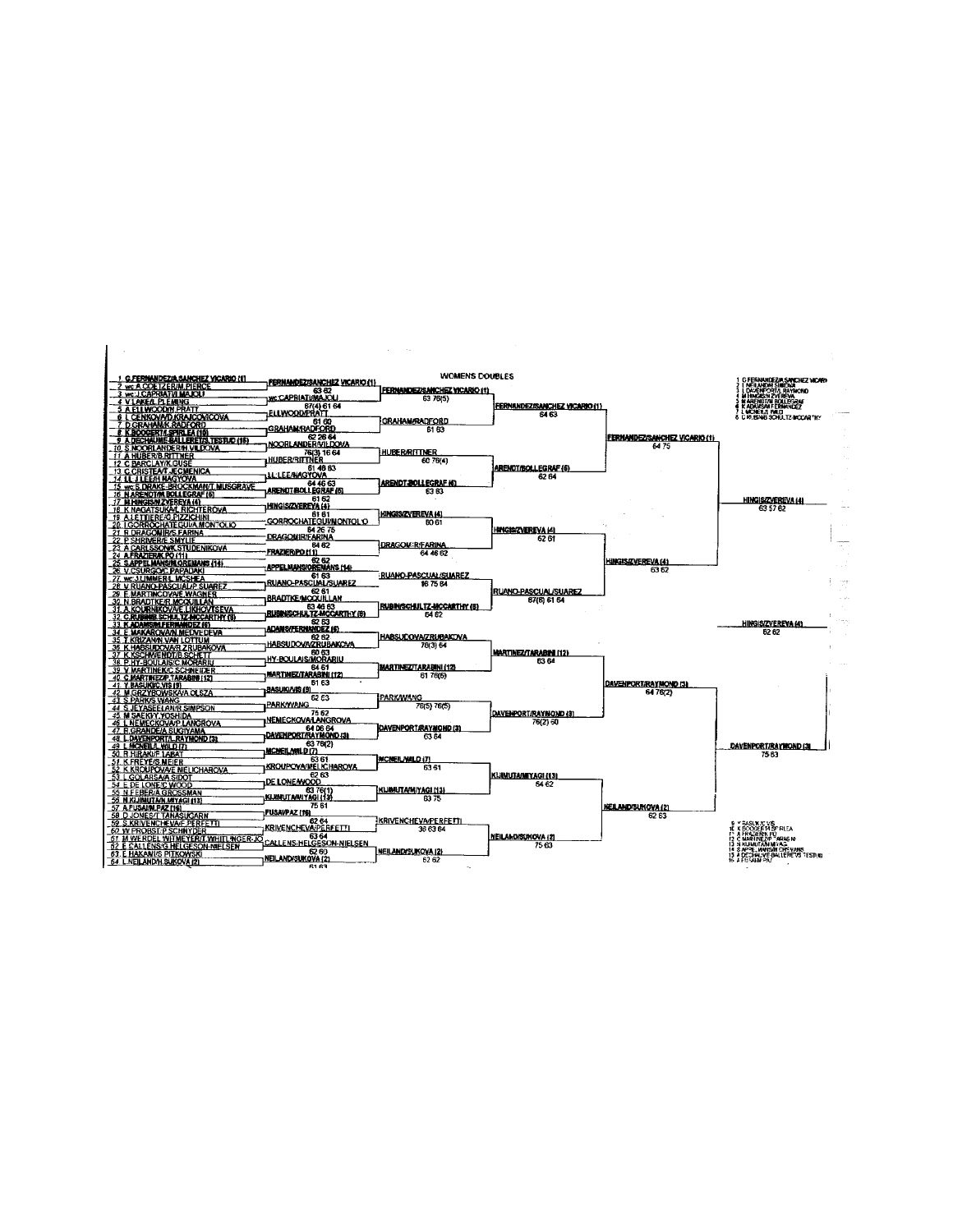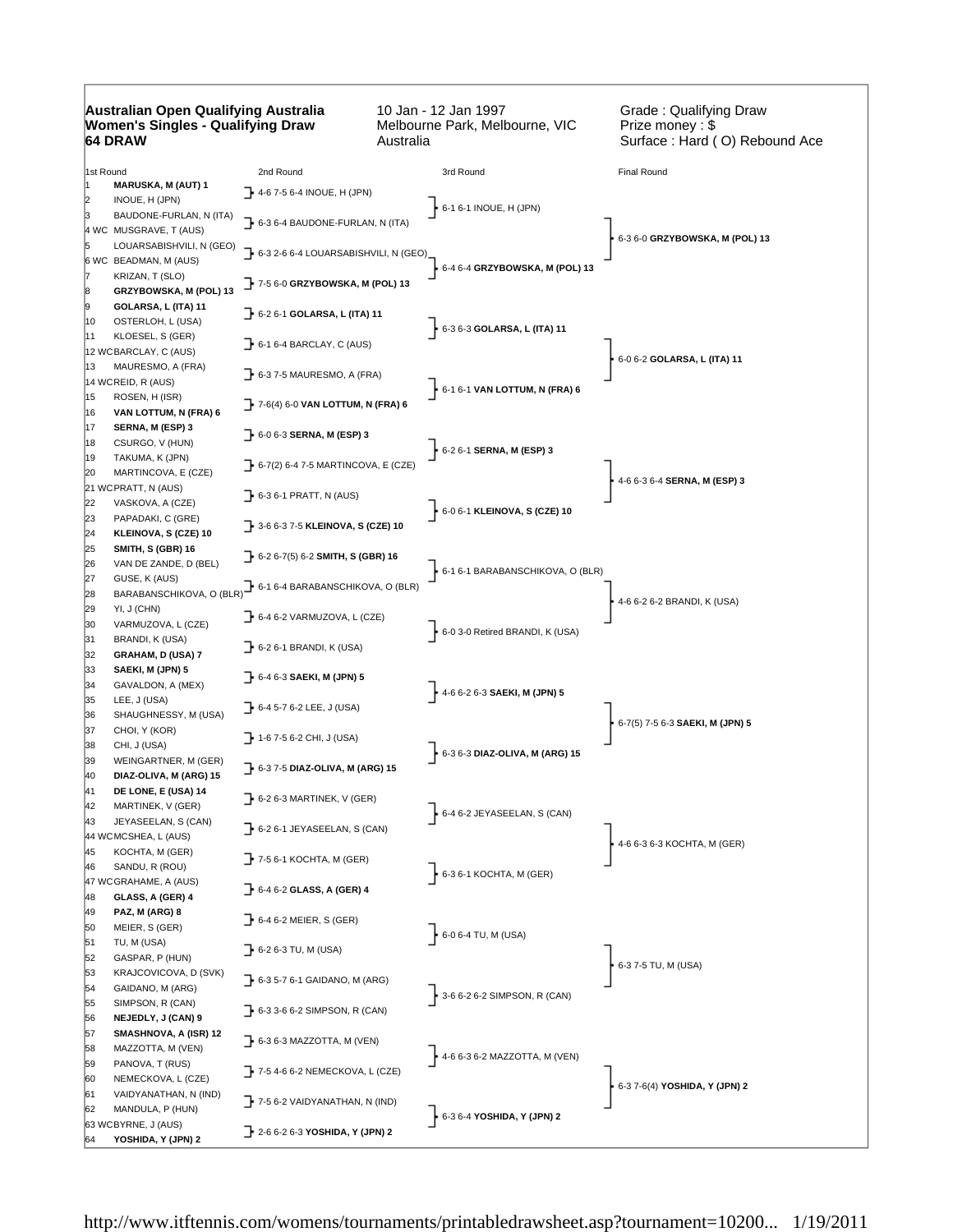## **Australian Open Qualifying Australia Women's Singles - Qualifying Draw 64 DRAW**

10 Jan - 12 Jan 1997 Melbourne Park, Melbourne, VIC Australia

Grade : Qualifying Draw Prize money : \$ Surface : Hard ( O) Rebound Ace

| $\uparrow$ 4-6 7-5 6-4 INOUE, H (JPN)<br>2<br>INOUE, H (JPN)<br>6-1 6-1 INOUE, H (JPN)<br>BAUDONE-FURLAN, N (ITA)<br>$\rightarrow$ 6-3 6-4 BAUDONE-FURLAN, N (ITA)<br>4 WC MUSGRAVE, T (AUS)<br>6-3 6-0 GRZYBOWSKA, M (POL) 13<br>LOUARSABISHVILI, N (GEO)<br>$\rightarrow$ 6-3 2-6 6-4 LOUARSABISHVILI, N (GEO)<br>6 WC BEADMAN, M (AUS)<br>6-4 6-4 GRZYBOWSKA, M (POL) 13<br>KRIZAN, T (SLO)<br>7- 7-5 6-0 GRZYBOWSKA, M (POL) 13<br>GRZYBOWSKA, M (POL) 13<br>18<br>9<br>GOLARSA, L (ITA) 11<br>6-2 6-1 GOLARSA, L (ITA) 11<br>10<br>OSTERLOH, L (USA)<br>$-6 - 36 - 3$ GOLARSA, L (ITA) 11<br>KLOESEL, S (GER)<br>11<br>$\rightarrow$ 6-1 6-4 BARCLAY, C (AUS)<br>12 WCBARCLAY, C (AUS)<br>6-0 6-2 GOLARSA, L (ITA) 11<br>13<br>MAURESMO, A (FRA)<br>$\rightarrow$ 6-3 7-5 MAURESMO, A (FRA)<br>14 WCREID, R (AUS)<br>6-1 6-1 VAN LOTTUM, N (FRA) 6<br>15<br>ROSEN, H (ISR)<br>$\rightarrow$ 7-6(4) 6-0 VAN LOTTUM, N (FRA) 6<br>16<br>VAN LOTTUM, N (FRA) 6<br>17<br>SERNA, M (ESP) 3<br>$\rightarrow$ 6-0 6-3 SERNA, M (ESP) 3<br>18<br>CSURGO, V (HUN)<br>6-2 6-1 SERNA, M (ESP) 3<br>TAKUMA, K (JPN)<br>19<br>$\rightarrow$ 6-7(2) 6-4 7-5 MARTINCOVA, E (CZE)<br>20<br>MARTINCOVA, E (CZE)<br>4-6 6-3 6-4 SERNA, M (ESP) 3<br>21 WCPRATT, N (AUS)<br>$\rightarrow$ 6-3 6-1 PRATT, N (AUS)<br>22<br>VASKOVA, A (CZE)<br>6-0 6-1 KLEINOVA, S (CZE) 10<br>23<br>PAPADAKI, C (GRE)<br>$\rightarrow$ 3-6 6-3 7-5 KLEINOVA, S (CZE) 10<br>24<br>KLEINOVA, S (CZE) 10<br>25<br>SMITH, S (GBR) 16<br>$\rightarrow$ 6-2 6-7(5) 6-2 SMITH, S (GBR) 16<br>26<br>VAN DE ZANDE, D (BEL)<br>6-1 6-1 BARABANSCHIKOVA, O (BLR)<br>27<br>GUSE, K (AUS)<br>6-1 6-4 BARABANSCHIKOVA, O (BLR)<br>BARABANSCHIKOVA, O (BLR)<br>28<br>4-6 6-2 6-2 BRANDI, K (USA)<br>29<br>YI, J (CHN)<br>$\rightarrow$ 6-4 6-2 VARMUZOVA, L (CZE)<br>VARMUZOVA, L (CZE)<br>30<br>6-0 3-0 Retired BRANDI, K (USA)<br>31<br>BRANDI, K (USA)<br>$\rightarrow$ 6-2 6-1 BRANDI, K (USA)<br>32<br>GRAHAM, D (USA) 7<br>33<br>SAEKI, M (JPN) 5<br>6-4 6-3 SAEKI, M (JPN) 5<br>34<br>GAVALDON, A (MEX)<br>$4-66-26-3$ SAEKI, M (JPN) 5<br>35<br>LEE, J (USA)<br>→ 6-4 5-7 6-2 LEE, J (USA)<br>36<br>SHAUGHNESSY, M (USA)<br>6-7(5) 7-5 6-3 SAEKI, M (JPN) 5<br>37<br>CHOI, Y (KOR)<br>1-6 7-5 6-2 CHI, J (USA)<br>38<br>CHI, J (USA)<br>$6 - 3 6 - 3$ DIAZ-OLIVA, M (ARG) 15<br>39<br>WEINGARTNER, M (GER)<br>6-3 7-5 DIAZ-OLIVA, M (ARG) 15<br>40<br>DIAZ-OLIVA, M (ARG) 15<br>41<br>DE LONE, E (USA) 14<br>$\rightarrow$ 6-2 6-3 MARTINEK, V (GER)<br>42<br>MARTINEK, V (GER)<br>$6-46-2$ JEYASEELAN, S (CAN)<br>43<br>JEYASEELAN, S (CAN)<br>$\rightarrow$ 6-2 6-1 JEYASEELAN, S (CAN)<br>44 WCMCSHEA, L (AUS)<br>4-6 6-3 6-3 KOCHTA, M (GER)<br>45<br>KOCHTA, M (GER)<br>$\blacktriangleright$ 7-5 6-1 KOCHTA, M (GER)<br>46<br>SANDU, R (ROU)<br>$\frac{1}{2}$ 6-3 6-1 KOCHTA, M (GER)<br>47 WCGRAHAME, A (AUS)<br>$\rightarrow$ 6-4 6-2 GLASS, A (GER) 4<br>GLASS, A (GER) 4<br>48<br>49<br>PAZ, M (ARG) 8<br>$\rightarrow$ 6-4 6-2 MEIER, S (GER)<br>50<br>MEIER, S (GER)<br>$6-06-4$ TU, M (USA)<br>51<br>TU, M (USA)<br>$\rightarrow$ 6-2 6-3 TU, M (USA)<br>GASPAR, P (HUN)<br>52<br>6-3 7-5 TU, M (USA)<br>53<br>KRAJCOVICOVA, D (SVK)<br>$\rightarrow$ 6-3 5-7 6-1 GAIDANO, M (ARG)<br>54<br>GAIDANO, M (ARG)<br>3-6 6-2 6-2 SIMPSON, R (CAN)<br>55<br>SIMPSON, R (CAN)<br>$\rightarrow$ 6-3 3-6 6-2 SIMPSON, R (CAN)<br>NEJEDLY, J (CAN) 9<br>56<br>57<br>SMASHNOVA, A (ISR) 12<br>$\rightarrow$ 6-3 6-3 MAZZOTTA, M (VEN)<br>58<br>MAZZOTTA, M (VEN)<br>4-6 6-3 6-2 MAZZOTTA, M (VEN)<br>PANOVA, T (RUS)<br>59<br>$\rightarrow$ 7-5 4-6 6-2 NEMECKOVA, L (CZE)<br>60<br>NEMECKOVA, L (CZE)<br>6-3 7-6(4) YOSHIDA, Y (JPN) 2<br>61<br>VAIDYANATHAN, N (IND)<br>$\rightarrow$ 7-5 6-2 VAIDYANATHAN, N (IND)<br>62<br>MANDULA, P (HUN)<br>6-3 6-4 YOSHIDA, Y (JPN) 2<br>63 WCBYRNE, J (AUS)<br>2-2-6 6-2 6-3 YOSHIDA, Y (JPN) 2<br>YOSHIDA, Y (JPN) 2<br>64 | 1st Round |                           | 2nd Round | 3rd Round | Final Round |
|-----------------------------------------------------------------------------------------------------------------------------------------------------------------------------------------------------------------------------------------------------------------------------------------------------------------------------------------------------------------------------------------------------------------------------------------------------------------------------------------------------------------------------------------------------------------------------------------------------------------------------------------------------------------------------------------------------------------------------------------------------------------------------------------------------------------------------------------------------------------------------------------------------------------------------------------------------------------------------------------------------------------------------------------------------------------------------------------------------------------------------------------------------------------------------------------------------------------------------------------------------------------------------------------------------------------------------------------------------------------------------------------------------------------------------------------------------------------------------------------------------------------------------------------------------------------------------------------------------------------------------------------------------------------------------------------------------------------------------------------------------------------------------------------------------------------------------------------------------------------------------------------------------------------------------------------------------------------------------------------------------------------------------------------------------------------------------------------------------------------------------------------------------------------------------------------------------------------------------------------------------------------------------------------------------------------------------------------------------------------------------------------------------------------------------------------------------------------------------------------------------------------------------------------------------------------------------------------------------------------------------------------------------------------------------------------------------------------------------------------------------------------------------------------------------------------------------------------------------------------------------------------------------------------------------------------------------------------------------------------------------------------------------------------------------------------------------------------------------------------------------------------------------------------------------------------------------------------------------------------------------------------------------------------------------------------------------------------------------------------------------------------------------------------------------------------------------------------------------------------------------------------------------------------------------------------------------------------------------------------------------------------------------------------------------------------------------------------------------------------------------------------------------------------------------------------------------------------------------------------------------------------------------------------------------------|-----------|---------------------------|-----------|-----------|-------------|
|                                                                                                                                                                                                                                                                                                                                                                                                                                                                                                                                                                                                                                                                                                                                                                                                                                                                                                                                                                                                                                                                                                                                                                                                                                                                                                                                                                                                                                                                                                                                                                                                                                                                                                                                                                                                                                                                                                                                                                                                                                                                                                                                                                                                                                                                                                                                                                                                                                                                                                                                                                                                                                                                                                                                                                                                                                                                                                                                                                                                                                                                                                                                                                                                                                                                                                                                                                                                                                                                                                                                                                                                                                                                                                                                                                                                                                                                                                                                   | 1         | <b>MARUSKA, M (AUT) 1</b> |           |           |             |
|                                                                                                                                                                                                                                                                                                                                                                                                                                                                                                                                                                                                                                                                                                                                                                                                                                                                                                                                                                                                                                                                                                                                                                                                                                                                                                                                                                                                                                                                                                                                                                                                                                                                                                                                                                                                                                                                                                                                                                                                                                                                                                                                                                                                                                                                                                                                                                                                                                                                                                                                                                                                                                                                                                                                                                                                                                                                                                                                                                                                                                                                                                                                                                                                                                                                                                                                                                                                                                                                                                                                                                                                                                                                                                                                                                                                                                                                                                                                   |           |                           |           |           |             |
|                                                                                                                                                                                                                                                                                                                                                                                                                                                                                                                                                                                                                                                                                                                                                                                                                                                                                                                                                                                                                                                                                                                                                                                                                                                                                                                                                                                                                                                                                                                                                                                                                                                                                                                                                                                                                                                                                                                                                                                                                                                                                                                                                                                                                                                                                                                                                                                                                                                                                                                                                                                                                                                                                                                                                                                                                                                                                                                                                                                                                                                                                                                                                                                                                                                                                                                                                                                                                                                                                                                                                                                                                                                                                                                                                                                                                                                                                                                                   |           |                           |           |           |             |
|                                                                                                                                                                                                                                                                                                                                                                                                                                                                                                                                                                                                                                                                                                                                                                                                                                                                                                                                                                                                                                                                                                                                                                                                                                                                                                                                                                                                                                                                                                                                                                                                                                                                                                                                                                                                                                                                                                                                                                                                                                                                                                                                                                                                                                                                                                                                                                                                                                                                                                                                                                                                                                                                                                                                                                                                                                                                                                                                                                                                                                                                                                                                                                                                                                                                                                                                                                                                                                                                                                                                                                                                                                                                                                                                                                                                                                                                                                                                   |           |                           |           |           |             |
|                                                                                                                                                                                                                                                                                                                                                                                                                                                                                                                                                                                                                                                                                                                                                                                                                                                                                                                                                                                                                                                                                                                                                                                                                                                                                                                                                                                                                                                                                                                                                                                                                                                                                                                                                                                                                                                                                                                                                                                                                                                                                                                                                                                                                                                                                                                                                                                                                                                                                                                                                                                                                                                                                                                                                                                                                                                                                                                                                                                                                                                                                                                                                                                                                                                                                                                                                                                                                                                                                                                                                                                                                                                                                                                                                                                                                                                                                                                                   |           |                           |           |           |             |
|                                                                                                                                                                                                                                                                                                                                                                                                                                                                                                                                                                                                                                                                                                                                                                                                                                                                                                                                                                                                                                                                                                                                                                                                                                                                                                                                                                                                                                                                                                                                                                                                                                                                                                                                                                                                                                                                                                                                                                                                                                                                                                                                                                                                                                                                                                                                                                                                                                                                                                                                                                                                                                                                                                                                                                                                                                                                                                                                                                                                                                                                                                                                                                                                                                                                                                                                                                                                                                                                                                                                                                                                                                                                                                                                                                                                                                                                                                                                   |           |                           |           |           |             |
|                                                                                                                                                                                                                                                                                                                                                                                                                                                                                                                                                                                                                                                                                                                                                                                                                                                                                                                                                                                                                                                                                                                                                                                                                                                                                                                                                                                                                                                                                                                                                                                                                                                                                                                                                                                                                                                                                                                                                                                                                                                                                                                                                                                                                                                                                                                                                                                                                                                                                                                                                                                                                                                                                                                                                                                                                                                                                                                                                                                                                                                                                                                                                                                                                                                                                                                                                                                                                                                                                                                                                                                                                                                                                                                                                                                                                                                                                                                                   |           |                           |           |           |             |
|                                                                                                                                                                                                                                                                                                                                                                                                                                                                                                                                                                                                                                                                                                                                                                                                                                                                                                                                                                                                                                                                                                                                                                                                                                                                                                                                                                                                                                                                                                                                                                                                                                                                                                                                                                                                                                                                                                                                                                                                                                                                                                                                                                                                                                                                                                                                                                                                                                                                                                                                                                                                                                                                                                                                                                                                                                                                                                                                                                                                                                                                                                                                                                                                                                                                                                                                                                                                                                                                                                                                                                                                                                                                                                                                                                                                                                                                                                                                   |           |                           |           |           |             |
|                                                                                                                                                                                                                                                                                                                                                                                                                                                                                                                                                                                                                                                                                                                                                                                                                                                                                                                                                                                                                                                                                                                                                                                                                                                                                                                                                                                                                                                                                                                                                                                                                                                                                                                                                                                                                                                                                                                                                                                                                                                                                                                                                                                                                                                                                                                                                                                                                                                                                                                                                                                                                                                                                                                                                                                                                                                                                                                                                                                                                                                                                                                                                                                                                                                                                                                                                                                                                                                                                                                                                                                                                                                                                                                                                                                                                                                                                                                                   |           |                           |           |           |             |
|                                                                                                                                                                                                                                                                                                                                                                                                                                                                                                                                                                                                                                                                                                                                                                                                                                                                                                                                                                                                                                                                                                                                                                                                                                                                                                                                                                                                                                                                                                                                                                                                                                                                                                                                                                                                                                                                                                                                                                                                                                                                                                                                                                                                                                                                                                                                                                                                                                                                                                                                                                                                                                                                                                                                                                                                                                                                                                                                                                                                                                                                                                                                                                                                                                                                                                                                                                                                                                                                                                                                                                                                                                                                                                                                                                                                                                                                                                                                   |           |                           |           |           |             |
|                                                                                                                                                                                                                                                                                                                                                                                                                                                                                                                                                                                                                                                                                                                                                                                                                                                                                                                                                                                                                                                                                                                                                                                                                                                                                                                                                                                                                                                                                                                                                                                                                                                                                                                                                                                                                                                                                                                                                                                                                                                                                                                                                                                                                                                                                                                                                                                                                                                                                                                                                                                                                                                                                                                                                                                                                                                                                                                                                                                                                                                                                                                                                                                                                                                                                                                                                                                                                                                                                                                                                                                                                                                                                                                                                                                                                                                                                                                                   |           |                           |           |           |             |
|                                                                                                                                                                                                                                                                                                                                                                                                                                                                                                                                                                                                                                                                                                                                                                                                                                                                                                                                                                                                                                                                                                                                                                                                                                                                                                                                                                                                                                                                                                                                                                                                                                                                                                                                                                                                                                                                                                                                                                                                                                                                                                                                                                                                                                                                                                                                                                                                                                                                                                                                                                                                                                                                                                                                                                                                                                                                                                                                                                                                                                                                                                                                                                                                                                                                                                                                                                                                                                                                                                                                                                                                                                                                                                                                                                                                                                                                                                                                   |           |                           |           |           |             |
|                                                                                                                                                                                                                                                                                                                                                                                                                                                                                                                                                                                                                                                                                                                                                                                                                                                                                                                                                                                                                                                                                                                                                                                                                                                                                                                                                                                                                                                                                                                                                                                                                                                                                                                                                                                                                                                                                                                                                                                                                                                                                                                                                                                                                                                                                                                                                                                                                                                                                                                                                                                                                                                                                                                                                                                                                                                                                                                                                                                                                                                                                                                                                                                                                                                                                                                                                                                                                                                                                                                                                                                                                                                                                                                                                                                                                                                                                                                                   |           |                           |           |           |             |
|                                                                                                                                                                                                                                                                                                                                                                                                                                                                                                                                                                                                                                                                                                                                                                                                                                                                                                                                                                                                                                                                                                                                                                                                                                                                                                                                                                                                                                                                                                                                                                                                                                                                                                                                                                                                                                                                                                                                                                                                                                                                                                                                                                                                                                                                                                                                                                                                                                                                                                                                                                                                                                                                                                                                                                                                                                                                                                                                                                                                                                                                                                                                                                                                                                                                                                                                                                                                                                                                                                                                                                                                                                                                                                                                                                                                                                                                                                                                   |           |                           |           |           |             |
|                                                                                                                                                                                                                                                                                                                                                                                                                                                                                                                                                                                                                                                                                                                                                                                                                                                                                                                                                                                                                                                                                                                                                                                                                                                                                                                                                                                                                                                                                                                                                                                                                                                                                                                                                                                                                                                                                                                                                                                                                                                                                                                                                                                                                                                                                                                                                                                                                                                                                                                                                                                                                                                                                                                                                                                                                                                                                                                                                                                                                                                                                                                                                                                                                                                                                                                                                                                                                                                                                                                                                                                                                                                                                                                                                                                                                                                                                                                                   |           |                           |           |           |             |
|                                                                                                                                                                                                                                                                                                                                                                                                                                                                                                                                                                                                                                                                                                                                                                                                                                                                                                                                                                                                                                                                                                                                                                                                                                                                                                                                                                                                                                                                                                                                                                                                                                                                                                                                                                                                                                                                                                                                                                                                                                                                                                                                                                                                                                                                                                                                                                                                                                                                                                                                                                                                                                                                                                                                                                                                                                                                                                                                                                                                                                                                                                                                                                                                                                                                                                                                                                                                                                                                                                                                                                                                                                                                                                                                                                                                                                                                                                                                   |           |                           |           |           |             |
|                                                                                                                                                                                                                                                                                                                                                                                                                                                                                                                                                                                                                                                                                                                                                                                                                                                                                                                                                                                                                                                                                                                                                                                                                                                                                                                                                                                                                                                                                                                                                                                                                                                                                                                                                                                                                                                                                                                                                                                                                                                                                                                                                                                                                                                                                                                                                                                                                                                                                                                                                                                                                                                                                                                                                                                                                                                                                                                                                                                                                                                                                                                                                                                                                                                                                                                                                                                                                                                                                                                                                                                                                                                                                                                                                                                                                                                                                                                                   |           |                           |           |           |             |
|                                                                                                                                                                                                                                                                                                                                                                                                                                                                                                                                                                                                                                                                                                                                                                                                                                                                                                                                                                                                                                                                                                                                                                                                                                                                                                                                                                                                                                                                                                                                                                                                                                                                                                                                                                                                                                                                                                                                                                                                                                                                                                                                                                                                                                                                                                                                                                                                                                                                                                                                                                                                                                                                                                                                                                                                                                                                                                                                                                                                                                                                                                                                                                                                                                                                                                                                                                                                                                                                                                                                                                                                                                                                                                                                                                                                                                                                                                                                   |           |                           |           |           |             |
|                                                                                                                                                                                                                                                                                                                                                                                                                                                                                                                                                                                                                                                                                                                                                                                                                                                                                                                                                                                                                                                                                                                                                                                                                                                                                                                                                                                                                                                                                                                                                                                                                                                                                                                                                                                                                                                                                                                                                                                                                                                                                                                                                                                                                                                                                                                                                                                                                                                                                                                                                                                                                                                                                                                                                                                                                                                                                                                                                                                                                                                                                                                                                                                                                                                                                                                                                                                                                                                                                                                                                                                                                                                                                                                                                                                                                                                                                                                                   |           |                           |           |           |             |
|                                                                                                                                                                                                                                                                                                                                                                                                                                                                                                                                                                                                                                                                                                                                                                                                                                                                                                                                                                                                                                                                                                                                                                                                                                                                                                                                                                                                                                                                                                                                                                                                                                                                                                                                                                                                                                                                                                                                                                                                                                                                                                                                                                                                                                                                                                                                                                                                                                                                                                                                                                                                                                                                                                                                                                                                                                                                                                                                                                                                                                                                                                                                                                                                                                                                                                                                                                                                                                                                                                                                                                                                                                                                                                                                                                                                                                                                                                                                   |           |                           |           |           |             |
|                                                                                                                                                                                                                                                                                                                                                                                                                                                                                                                                                                                                                                                                                                                                                                                                                                                                                                                                                                                                                                                                                                                                                                                                                                                                                                                                                                                                                                                                                                                                                                                                                                                                                                                                                                                                                                                                                                                                                                                                                                                                                                                                                                                                                                                                                                                                                                                                                                                                                                                                                                                                                                                                                                                                                                                                                                                                                                                                                                                                                                                                                                                                                                                                                                                                                                                                                                                                                                                                                                                                                                                                                                                                                                                                                                                                                                                                                                                                   |           |                           |           |           |             |
|                                                                                                                                                                                                                                                                                                                                                                                                                                                                                                                                                                                                                                                                                                                                                                                                                                                                                                                                                                                                                                                                                                                                                                                                                                                                                                                                                                                                                                                                                                                                                                                                                                                                                                                                                                                                                                                                                                                                                                                                                                                                                                                                                                                                                                                                                                                                                                                                                                                                                                                                                                                                                                                                                                                                                                                                                                                                                                                                                                                                                                                                                                                                                                                                                                                                                                                                                                                                                                                                                                                                                                                                                                                                                                                                                                                                                                                                                                                                   |           |                           |           |           |             |
|                                                                                                                                                                                                                                                                                                                                                                                                                                                                                                                                                                                                                                                                                                                                                                                                                                                                                                                                                                                                                                                                                                                                                                                                                                                                                                                                                                                                                                                                                                                                                                                                                                                                                                                                                                                                                                                                                                                                                                                                                                                                                                                                                                                                                                                                                                                                                                                                                                                                                                                                                                                                                                                                                                                                                                                                                                                                                                                                                                                                                                                                                                                                                                                                                                                                                                                                                                                                                                                                                                                                                                                                                                                                                                                                                                                                                                                                                                                                   |           |                           |           |           |             |
|                                                                                                                                                                                                                                                                                                                                                                                                                                                                                                                                                                                                                                                                                                                                                                                                                                                                                                                                                                                                                                                                                                                                                                                                                                                                                                                                                                                                                                                                                                                                                                                                                                                                                                                                                                                                                                                                                                                                                                                                                                                                                                                                                                                                                                                                                                                                                                                                                                                                                                                                                                                                                                                                                                                                                                                                                                                                                                                                                                                                                                                                                                                                                                                                                                                                                                                                                                                                                                                                                                                                                                                                                                                                                                                                                                                                                                                                                                                                   |           |                           |           |           |             |
|                                                                                                                                                                                                                                                                                                                                                                                                                                                                                                                                                                                                                                                                                                                                                                                                                                                                                                                                                                                                                                                                                                                                                                                                                                                                                                                                                                                                                                                                                                                                                                                                                                                                                                                                                                                                                                                                                                                                                                                                                                                                                                                                                                                                                                                                                                                                                                                                                                                                                                                                                                                                                                                                                                                                                                                                                                                                                                                                                                                                                                                                                                                                                                                                                                                                                                                                                                                                                                                                                                                                                                                                                                                                                                                                                                                                                                                                                                                                   |           |                           |           |           |             |
|                                                                                                                                                                                                                                                                                                                                                                                                                                                                                                                                                                                                                                                                                                                                                                                                                                                                                                                                                                                                                                                                                                                                                                                                                                                                                                                                                                                                                                                                                                                                                                                                                                                                                                                                                                                                                                                                                                                                                                                                                                                                                                                                                                                                                                                                                                                                                                                                                                                                                                                                                                                                                                                                                                                                                                                                                                                                                                                                                                                                                                                                                                                                                                                                                                                                                                                                                                                                                                                                                                                                                                                                                                                                                                                                                                                                                                                                                                                                   |           |                           |           |           |             |
|                                                                                                                                                                                                                                                                                                                                                                                                                                                                                                                                                                                                                                                                                                                                                                                                                                                                                                                                                                                                                                                                                                                                                                                                                                                                                                                                                                                                                                                                                                                                                                                                                                                                                                                                                                                                                                                                                                                                                                                                                                                                                                                                                                                                                                                                                                                                                                                                                                                                                                                                                                                                                                                                                                                                                                                                                                                                                                                                                                                                                                                                                                                                                                                                                                                                                                                                                                                                                                                                                                                                                                                                                                                                                                                                                                                                                                                                                                                                   |           |                           |           |           |             |
|                                                                                                                                                                                                                                                                                                                                                                                                                                                                                                                                                                                                                                                                                                                                                                                                                                                                                                                                                                                                                                                                                                                                                                                                                                                                                                                                                                                                                                                                                                                                                                                                                                                                                                                                                                                                                                                                                                                                                                                                                                                                                                                                                                                                                                                                                                                                                                                                                                                                                                                                                                                                                                                                                                                                                                                                                                                                                                                                                                                                                                                                                                                                                                                                                                                                                                                                                                                                                                                                                                                                                                                                                                                                                                                                                                                                                                                                                                                                   |           |                           |           |           |             |
|                                                                                                                                                                                                                                                                                                                                                                                                                                                                                                                                                                                                                                                                                                                                                                                                                                                                                                                                                                                                                                                                                                                                                                                                                                                                                                                                                                                                                                                                                                                                                                                                                                                                                                                                                                                                                                                                                                                                                                                                                                                                                                                                                                                                                                                                                                                                                                                                                                                                                                                                                                                                                                                                                                                                                                                                                                                                                                                                                                                                                                                                                                                                                                                                                                                                                                                                                                                                                                                                                                                                                                                                                                                                                                                                                                                                                                                                                                                                   |           |                           |           |           |             |
|                                                                                                                                                                                                                                                                                                                                                                                                                                                                                                                                                                                                                                                                                                                                                                                                                                                                                                                                                                                                                                                                                                                                                                                                                                                                                                                                                                                                                                                                                                                                                                                                                                                                                                                                                                                                                                                                                                                                                                                                                                                                                                                                                                                                                                                                                                                                                                                                                                                                                                                                                                                                                                                                                                                                                                                                                                                                                                                                                                                                                                                                                                                                                                                                                                                                                                                                                                                                                                                                                                                                                                                                                                                                                                                                                                                                                                                                                                                                   |           |                           |           |           |             |
|                                                                                                                                                                                                                                                                                                                                                                                                                                                                                                                                                                                                                                                                                                                                                                                                                                                                                                                                                                                                                                                                                                                                                                                                                                                                                                                                                                                                                                                                                                                                                                                                                                                                                                                                                                                                                                                                                                                                                                                                                                                                                                                                                                                                                                                                                                                                                                                                                                                                                                                                                                                                                                                                                                                                                                                                                                                                                                                                                                                                                                                                                                                                                                                                                                                                                                                                                                                                                                                                                                                                                                                                                                                                                                                                                                                                                                                                                                                                   |           |                           |           |           |             |
|                                                                                                                                                                                                                                                                                                                                                                                                                                                                                                                                                                                                                                                                                                                                                                                                                                                                                                                                                                                                                                                                                                                                                                                                                                                                                                                                                                                                                                                                                                                                                                                                                                                                                                                                                                                                                                                                                                                                                                                                                                                                                                                                                                                                                                                                                                                                                                                                                                                                                                                                                                                                                                                                                                                                                                                                                                                                                                                                                                                                                                                                                                                                                                                                                                                                                                                                                                                                                                                                                                                                                                                                                                                                                                                                                                                                                                                                                                                                   |           |                           |           |           |             |
|                                                                                                                                                                                                                                                                                                                                                                                                                                                                                                                                                                                                                                                                                                                                                                                                                                                                                                                                                                                                                                                                                                                                                                                                                                                                                                                                                                                                                                                                                                                                                                                                                                                                                                                                                                                                                                                                                                                                                                                                                                                                                                                                                                                                                                                                                                                                                                                                                                                                                                                                                                                                                                                                                                                                                                                                                                                                                                                                                                                                                                                                                                                                                                                                                                                                                                                                                                                                                                                                                                                                                                                                                                                                                                                                                                                                                                                                                                                                   |           |                           |           |           |             |
|                                                                                                                                                                                                                                                                                                                                                                                                                                                                                                                                                                                                                                                                                                                                                                                                                                                                                                                                                                                                                                                                                                                                                                                                                                                                                                                                                                                                                                                                                                                                                                                                                                                                                                                                                                                                                                                                                                                                                                                                                                                                                                                                                                                                                                                                                                                                                                                                                                                                                                                                                                                                                                                                                                                                                                                                                                                                                                                                                                                                                                                                                                                                                                                                                                                                                                                                                                                                                                                                                                                                                                                                                                                                                                                                                                                                                                                                                                                                   |           |                           |           |           |             |
|                                                                                                                                                                                                                                                                                                                                                                                                                                                                                                                                                                                                                                                                                                                                                                                                                                                                                                                                                                                                                                                                                                                                                                                                                                                                                                                                                                                                                                                                                                                                                                                                                                                                                                                                                                                                                                                                                                                                                                                                                                                                                                                                                                                                                                                                                                                                                                                                                                                                                                                                                                                                                                                                                                                                                                                                                                                                                                                                                                                                                                                                                                                                                                                                                                                                                                                                                                                                                                                                                                                                                                                                                                                                                                                                                                                                                                                                                                                                   |           |                           |           |           |             |
|                                                                                                                                                                                                                                                                                                                                                                                                                                                                                                                                                                                                                                                                                                                                                                                                                                                                                                                                                                                                                                                                                                                                                                                                                                                                                                                                                                                                                                                                                                                                                                                                                                                                                                                                                                                                                                                                                                                                                                                                                                                                                                                                                                                                                                                                                                                                                                                                                                                                                                                                                                                                                                                                                                                                                                                                                                                                                                                                                                                                                                                                                                                                                                                                                                                                                                                                                                                                                                                                                                                                                                                                                                                                                                                                                                                                                                                                                                                                   |           |                           |           |           |             |
|                                                                                                                                                                                                                                                                                                                                                                                                                                                                                                                                                                                                                                                                                                                                                                                                                                                                                                                                                                                                                                                                                                                                                                                                                                                                                                                                                                                                                                                                                                                                                                                                                                                                                                                                                                                                                                                                                                                                                                                                                                                                                                                                                                                                                                                                                                                                                                                                                                                                                                                                                                                                                                                                                                                                                                                                                                                                                                                                                                                                                                                                                                                                                                                                                                                                                                                                                                                                                                                                                                                                                                                                                                                                                                                                                                                                                                                                                                                                   |           |                           |           |           |             |
|                                                                                                                                                                                                                                                                                                                                                                                                                                                                                                                                                                                                                                                                                                                                                                                                                                                                                                                                                                                                                                                                                                                                                                                                                                                                                                                                                                                                                                                                                                                                                                                                                                                                                                                                                                                                                                                                                                                                                                                                                                                                                                                                                                                                                                                                                                                                                                                                                                                                                                                                                                                                                                                                                                                                                                                                                                                                                                                                                                                                                                                                                                                                                                                                                                                                                                                                                                                                                                                                                                                                                                                                                                                                                                                                                                                                                                                                                                                                   |           |                           |           |           |             |
|                                                                                                                                                                                                                                                                                                                                                                                                                                                                                                                                                                                                                                                                                                                                                                                                                                                                                                                                                                                                                                                                                                                                                                                                                                                                                                                                                                                                                                                                                                                                                                                                                                                                                                                                                                                                                                                                                                                                                                                                                                                                                                                                                                                                                                                                                                                                                                                                                                                                                                                                                                                                                                                                                                                                                                                                                                                                                                                                                                                                                                                                                                                                                                                                                                                                                                                                                                                                                                                                                                                                                                                                                                                                                                                                                                                                                                                                                                                                   |           |                           |           |           |             |
|                                                                                                                                                                                                                                                                                                                                                                                                                                                                                                                                                                                                                                                                                                                                                                                                                                                                                                                                                                                                                                                                                                                                                                                                                                                                                                                                                                                                                                                                                                                                                                                                                                                                                                                                                                                                                                                                                                                                                                                                                                                                                                                                                                                                                                                                                                                                                                                                                                                                                                                                                                                                                                                                                                                                                                                                                                                                                                                                                                                                                                                                                                                                                                                                                                                                                                                                                                                                                                                                                                                                                                                                                                                                                                                                                                                                                                                                                                                                   |           |                           |           |           |             |
|                                                                                                                                                                                                                                                                                                                                                                                                                                                                                                                                                                                                                                                                                                                                                                                                                                                                                                                                                                                                                                                                                                                                                                                                                                                                                                                                                                                                                                                                                                                                                                                                                                                                                                                                                                                                                                                                                                                                                                                                                                                                                                                                                                                                                                                                                                                                                                                                                                                                                                                                                                                                                                                                                                                                                                                                                                                                                                                                                                                                                                                                                                                                                                                                                                                                                                                                                                                                                                                                                                                                                                                                                                                                                                                                                                                                                                                                                                                                   |           |                           |           |           |             |
|                                                                                                                                                                                                                                                                                                                                                                                                                                                                                                                                                                                                                                                                                                                                                                                                                                                                                                                                                                                                                                                                                                                                                                                                                                                                                                                                                                                                                                                                                                                                                                                                                                                                                                                                                                                                                                                                                                                                                                                                                                                                                                                                                                                                                                                                                                                                                                                                                                                                                                                                                                                                                                                                                                                                                                                                                                                                                                                                                                                                                                                                                                                                                                                                                                                                                                                                                                                                                                                                                                                                                                                                                                                                                                                                                                                                                                                                                                                                   |           |                           |           |           |             |
|                                                                                                                                                                                                                                                                                                                                                                                                                                                                                                                                                                                                                                                                                                                                                                                                                                                                                                                                                                                                                                                                                                                                                                                                                                                                                                                                                                                                                                                                                                                                                                                                                                                                                                                                                                                                                                                                                                                                                                                                                                                                                                                                                                                                                                                                                                                                                                                                                                                                                                                                                                                                                                                                                                                                                                                                                                                                                                                                                                                                                                                                                                                                                                                                                                                                                                                                                                                                                                                                                                                                                                                                                                                                                                                                                                                                                                                                                                                                   |           |                           |           |           |             |
|                                                                                                                                                                                                                                                                                                                                                                                                                                                                                                                                                                                                                                                                                                                                                                                                                                                                                                                                                                                                                                                                                                                                                                                                                                                                                                                                                                                                                                                                                                                                                                                                                                                                                                                                                                                                                                                                                                                                                                                                                                                                                                                                                                                                                                                                                                                                                                                                                                                                                                                                                                                                                                                                                                                                                                                                                                                                                                                                                                                                                                                                                                                                                                                                                                                                                                                                                                                                                                                                                                                                                                                                                                                                                                                                                                                                                                                                                                                                   |           |                           |           |           |             |
|                                                                                                                                                                                                                                                                                                                                                                                                                                                                                                                                                                                                                                                                                                                                                                                                                                                                                                                                                                                                                                                                                                                                                                                                                                                                                                                                                                                                                                                                                                                                                                                                                                                                                                                                                                                                                                                                                                                                                                                                                                                                                                                                                                                                                                                                                                                                                                                                                                                                                                                                                                                                                                                                                                                                                                                                                                                                                                                                                                                                                                                                                                                                                                                                                                                                                                                                                                                                                                                                                                                                                                                                                                                                                                                                                                                                                                                                                                                                   |           |                           |           |           |             |
|                                                                                                                                                                                                                                                                                                                                                                                                                                                                                                                                                                                                                                                                                                                                                                                                                                                                                                                                                                                                                                                                                                                                                                                                                                                                                                                                                                                                                                                                                                                                                                                                                                                                                                                                                                                                                                                                                                                                                                                                                                                                                                                                                                                                                                                                                                                                                                                                                                                                                                                                                                                                                                                                                                                                                                                                                                                                                                                                                                                                                                                                                                                                                                                                                                                                                                                                                                                                                                                                                                                                                                                                                                                                                                                                                                                                                                                                                                                                   |           |                           |           |           |             |
|                                                                                                                                                                                                                                                                                                                                                                                                                                                                                                                                                                                                                                                                                                                                                                                                                                                                                                                                                                                                                                                                                                                                                                                                                                                                                                                                                                                                                                                                                                                                                                                                                                                                                                                                                                                                                                                                                                                                                                                                                                                                                                                                                                                                                                                                                                                                                                                                                                                                                                                                                                                                                                                                                                                                                                                                                                                                                                                                                                                                                                                                                                                                                                                                                                                                                                                                                                                                                                                                                                                                                                                                                                                                                                                                                                                                                                                                                                                                   |           |                           |           |           |             |
|                                                                                                                                                                                                                                                                                                                                                                                                                                                                                                                                                                                                                                                                                                                                                                                                                                                                                                                                                                                                                                                                                                                                                                                                                                                                                                                                                                                                                                                                                                                                                                                                                                                                                                                                                                                                                                                                                                                                                                                                                                                                                                                                                                                                                                                                                                                                                                                                                                                                                                                                                                                                                                                                                                                                                                                                                                                                                                                                                                                                                                                                                                                                                                                                                                                                                                                                                                                                                                                                                                                                                                                                                                                                                                                                                                                                                                                                                                                                   |           |                           |           |           |             |
|                                                                                                                                                                                                                                                                                                                                                                                                                                                                                                                                                                                                                                                                                                                                                                                                                                                                                                                                                                                                                                                                                                                                                                                                                                                                                                                                                                                                                                                                                                                                                                                                                                                                                                                                                                                                                                                                                                                                                                                                                                                                                                                                                                                                                                                                                                                                                                                                                                                                                                                                                                                                                                                                                                                                                                                                                                                                                                                                                                                                                                                                                                                                                                                                                                                                                                                                                                                                                                                                                                                                                                                                                                                                                                                                                                                                                                                                                                                                   |           |                           |           |           |             |
|                                                                                                                                                                                                                                                                                                                                                                                                                                                                                                                                                                                                                                                                                                                                                                                                                                                                                                                                                                                                                                                                                                                                                                                                                                                                                                                                                                                                                                                                                                                                                                                                                                                                                                                                                                                                                                                                                                                                                                                                                                                                                                                                                                                                                                                                                                                                                                                                                                                                                                                                                                                                                                                                                                                                                                                                                                                                                                                                                                                                                                                                                                                                                                                                                                                                                                                                                                                                                                                                                                                                                                                                                                                                                                                                                                                                                                                                                                                                   |           |                           |           |           |             |
|                                                                                                                                                                                                                                                                                                                                                                                                                                                                                                                                                                                                                                                                                                                                                                                                                                                                                                                                                                                                                                                                                                                                                                                                                                                                                                                                                                                                                                                                                                                                                                                                                                                                                                                                                                                                                                                                                                                                                                                                                                                                                                                                                                                                                                                                                                                                                                                                                                                                                                                                                                                                                                                                                                                                                                                                                                                                                                                                                                                                                                                                                                                                                                                                                                                                                                                                                                                                                                                                                                                                                                                                                                                                                                                                                                                                                                                                                                                                   |           |                           |           |           |             |
|                                                                                                                                                                                                                                                                                                                                                                                                                                                                                                                                                                                                                                                                                                                                                                                                                                                                                                                                                                                                                                                                                                                                                                                                                                                                                                                                                                                                                                                                                                                                                                                                                                                                                                                                                                                                                                                                                                                                                                                                                                                                                                                                                                                                                                                                                                                                                                                                                                                                                                                                                                                                                                                                                                                                                                                                                                                                                                                                                                                                                                                                                                                                                                                                                                                                                                                                                                                                                                                                                                                                                                                                                                                                                                                                                                                                                                                                                                                                   |           |                           |           |           |             |
|                                                                                                                                                                                                                                                                                                                                                                                                                                                                                                                                                                                                                                                                                                                                                                                                                                                                                                                                                                                                                                                                                                                                                                                                                                                                                                                                                                                                                                                                                                                                                                                                                                                                                                                                                                                                                                                                                                                                                                                                                                                                                                                                                                                                                                                                                                                                                                                                                                                                                                                                                                                                                                                                                                                                                                                                                                                                                                                                                                                                                                                                                                                                                                                                                                                                                                                                                                                                                                                                                                                                                                                                                                                                                                                                                                                                                                                                                                                                   |           |                           |           |           |             |
|                                                                                                                                                                                                                                                                                                                                                                                                                                                                                                                                                                                                                                                                                                                                                                                                                                                                                                                                                                                                                                                                                                                                                                                                                                                                                                                                                                                                                                                                                                                                                                                                                                                                                                                                                                                                                                                                                                                                                                                                                                                                                                                                                                                                                                                                                                                                                                                                                                                                                                                                                                                                                                                                                                                                                                                                                                                                                                                                                                                                                                                                                                                                                                                                                                                                                                                                                                                                                                                                                                                                                                                                                                                                                                                                                                                                                                                                                                                                   |           |                           |           |           |             |
|                                                                                                                                                                                                                                                                                                                                                                                                                                                                                                                                                                                                                                                                                                                                                                                                                                                                                                                                                                                                                                                                                                                                                                                                                                                                                                                                                                                                                                                                                                                                                                                                                                                                                                                                                                                                                                                                                                                                                                                                                                                                                                                                                                                                                                                                                                                                                                                                                                                                                                                                                                                                                                                                                                                                                                                                                                                                                                                                                                                                                                                                                                                                                                                                                                                                                                                                                                                                                                                                                                                                                                                                                                                                                                                                                                                                                                                                                                                                   |           |                           |           |           |             |
|                                                                                                                                                                                                                                                                                                                                                                                                                                                                                                                                                                                                                                                                                                                                                                                                                                                                                                                                                                                                                                                                                                                                                                                                                                                                                                                                                                                                                                                                                                                                                                                                                                                                                                                                                                                                                                                                                                                                                                                                                                                                                                                                                                                                                                                                                                                                                                                                                                                                                                                                                                                                                                                                                                                                                                                                                                                                                                                                                                                                                                                                                                                                                                                                                                                                                                                                                                                                                                                                                                                                                                                                                                                                                                                                                                                                                                                                                                                                   |           |                           |           |           |             |
|                                                                                                                                                                                                                                                                                                                                                                                                                                                                                                                                                                                                                                                                                                                                                                                                                                                                                                                                                                                                                                                                                                                                                                                                                                                                                                                                                                                                                                                                                                                                                                                                                                                                                                                                                                                                                                                                                                                                                                                                                                                                                                                                                                                                                                                                                                                                                                                                                                                                                                                                                                                                                                                                                                                                                                                                                                                                                                                                                                                                                                                                                                                                                                                                                                                                                                                                                                                                                                                                                                                                                                                                                                                                                                                                                                                                                                                                                                                                   |           |                           |           |           |             |
|                                                                                                                                                                                                                                                                                                                                                                                                                                                                                                                                                                                                                                                                                                                                                                                                                                                                                                                                                                                                                                                                                                                                                                                                                                                                                                                                                                                                                                                                                                                                                                                                                                                                                                                                                                                                                                                                                                                                                                                                                                                                                                                                                                                                                                                                                                                                                                                                                                                                                                                                                                                                                                                                                                                                                                                                                                                                                                                                                                                                                                                                                                                                                                                                                                                                                                                                                                                                                                                                                                                                                                                                                                                                                                                                                                                                                                                                                                                                   |           |                           |           |           |             |
|                                                                                                                                                                                                                                                                                                                                                                                                                                                                                                                                                                                                                                                                                                                                                                                                                                                                                                                                                                                                                                                                                                                                                                                                                                                                                                                                                                                                                                                                                                                                                                                                                                                                                                                                                                                                                                                                                                                                                                                                                                                                                                                                                                                                                                                                                                                                                                                                                                                                                                                                                                                                                                                                                                                                                                                                                                                                                                                                                                                                                                                                                                                                                                                                                                                                                                                                                                                                                                                                                                                                                                                                                                                                                                                                                                                                                                                                                                                                   |           |                           |           |           |             |
|                                                                                                                                                                                                                                                                                                                                                                                                                                                                                                                                                                                                                                                                                                                                                                                                                                                                                                                                                                                                                                                                                                                                                                                                                                                                                                                                                                                                                                                                                                                                                                                                                                                                                                                                                                                                                                                                                                                                                                                                                                                                                                                                                                                                                                                                                                                                                                                                                                                                                                                                                                                                                                                                                                                                                                                                                                                                                                                                                                                                                                                                                                                                                                                                                                                                                                                                                                                                                                                                                                                                                                                                                                                                                                                                                                                                                                                                                                                                   |           |                           |           |           |             |
|                                                                                                                                                                                                                                                                                                                                                                                                                                                                                                                                                                                                                                                                                                                                                                                                                                                                                                                                                                                                                                                                                                                                                                                                                                                                                                                                                                                                                                                                                                                                                                                                                                                                                                                                                                                                                                                                                                                                                                                                                                                                                                                                                                                                                                                                                                                                                                                                                                                                                                                                                                                                                                                                                                                                                                                                                                                                                                                                                                                                                                                                                                                                                                                                                                                                                                                                                                                                                                                                                                                                                                                                                                                                                                                                                                                                                                                                                                                                   |           |                           |           |           |             |
|                                                                                                                                                                                                                                                                                                                                                                                                                                                                                                                                                                                                                                                                                                                                                                                                                                                                                                                                                                                                                                                                                                                                                                                                                                                                                                                                                                                                                                                                                                                                                                                                                                                                                                                                                                                                                                                                                                                                                                                                                                                                                                                                                                                                                                                                                                                                                                                                                                                                                                                                                                                                                                                                                                                                                                                                                                                                                                                                                                                                                                                                                                                                                                                                                                                                                                                                                                                                                                                                                                                                                                                                                                                                                                                                                                                                                                                                                                                                   |           |                           |           |           |             |
|                                                                                                                                                                                                                                                                                                                                                                                                                                                                                                                                                                                                                                                                                                                                                                                                                                                                                                                                                                                                                                                                                                                                                                                                                                                                                                                                                                                                                                                                                                                                                                                                                                                                                                                                                                                                                                                                                                                                                                                                                                                                                                                                                                                                                                                                                                                                                                                                                                                                                                                                                                                                                                                                                                                                                                                                                                                                                                                                                                                                                                                                                                                                                                                                                                                                                                                                                                                                                                                                                                                                                                                                                                                                                                                                                                                                                                                                                                                                   |           |                           |           |           |             |
|                                                                                                                                                                                                                                                                                                                                                                                                                                                                                                                                                                                                                                                                                                                                                                                                                                                                                                                                                                                                                                                                                                                                                                                                                                                                                                                                                                                                                                                                                                                                                                                                                                                                                                                                                                                                                                                                                                                                                                                                                                                                                                                                                                                                                                                                                                                                                                                                                                                                                                                                                                                                                                                                                                                                                                                                                                                                                                                                                                                                                                                                                                                                                                                                                                                                                                                                                                                                                                                                                                                                                                                                                                                                                                                                                                                                                                                                                                                                   |           |                           |           |           |             |
|                                                                                                                                                                                                                                                                                                                                                                                                                                                                                                                                                                                                                                                                                                                                                                                                                                                                                                                                                                                                                                                                                                                                                                                                                                                                                                                                                                                                                                                                                                                                                                                                                                                                                                                                                                                                                                                                                                                                                                                                                                                                                                                                                                                                                                                                                                                                                                                                                                                                                                                                                                                                                                                                                                                                                                                                                                                                                                                                                                                                                                                                                                                                                                                                                                                                                                                                                                                                                                                                                                                                                                                                                                                                                                                                                                                                                                                                                                                                   |           |                           |           |           |             |
|                                                                                                                                                                                                                                                                                                                                                                                                                                                                                                                                                                                                                                                                                                                                                                                                                                                                                                                                                                                                                                                                                                                                                                                                                                                                                                                                                                                                                                                                                                                                                                                                                                                                                                                                                                                                                                                                                                                                                                                                                                                                                                                                                                                                                                                                                                                                                                                                                                                                                                                                                                                                                                                                                                                                                                                                                                                                                                                                                                                                                                                                                                                                                                                                                                                                                                                                                                                                                                                                                                                                                                                                                                                                                                                                                                                                                                                                                                                                   |           |                           |           |           |             |
|                                                                                                                                                                                                                                                                                                                                                                                                                                                                                                                                                                                                                                                                                                                                                                                                                                                                                                                                                                                                                                                                                                                                                                                                                                                                                                                                                                                                                                                                                                                                                                                                                                                                                                                                                                                                                                                                                                                                                                                                                                                                                                                                                                                                                                                                                                                                                                                                                                                                                                                                                                                                                                                                                                                                                                                                                                                                                                                                                                                                                                                                                                                                                                                                                                                                                                                                                                                                                                                                                                                                                                                                                                                                                                                                                                                                                                                                                                                                   |           |                           |           |           |             |